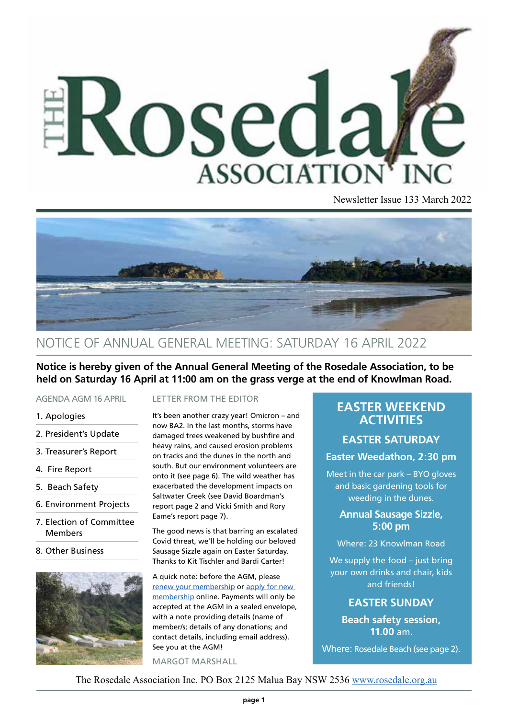

Newsletter Issue 133 March 2022



### NOTICE OF ANNUAL GENERAL MEETING: SATURDAY 16 APRIL 2022

**Notice is hereby given of the Annual General Meeting of the Rosedale Association, to be held on Saturday 16 April at 11:00 am on the grass verge at the end of Knowlman Road.**

#### AGENDA AGM 16 APRIL

- 1. Apologies
- 2. President's Update
- 3. Treasurer's Report
- 4. Fire Report
- 5. Beach Safety
- 6. Environment Projects
- 7. Election of Committee Members
- 8. Other Business



#### LETTER FROM THE EDITOR

It's been another crazy year! Omicron – and now BA2. In the last months, storms have damaged trees weakened by bushfire and heavy rains, and caused erosion problems on tracks and the dunes in the north and south. But our environment volunteers are onto it (see page 6). The wild weather has exacerbated the development impacts on Saltwater Creek (see David Boardman's report page 2 and Vicki Smith and Rory Eame's report page 7).

The good news is that barring an escalated Covid threat, we'll be holding our beloved Sausage Sizzle again on Easter Saturday. Thanks to Kit Tischler and Bardi Carter!

A quick note: before the AGM, please [renew your membership](Https://rosedale.org.au/renew-membership) or apply for new [membership](https://rosedale.org.au/new-membership) online. Payments will only be accepted at the AGM in a sealed envelope, with a note providing details (name of member/s; details of any donations; and contact details, including email address). See you at the AGM!

#### MARGOT MARSHALL

### **EASTER WEEKEND ACTIVITIES**

### **EASTER SATURDAY**

#### **Easter Weedathon, 2:30 pm**

Meet in the car park – BYO gloves and basic gardening tools for weeding in the dunes.

### **Annual Sausage Sizzle, 5:00 pm**

Where: 23 Knowlman Road

We supply the food – just bring your own drinks and chair, kids and friends!

### **EASTER SUNDAY**

**Beach safety session, 11.00** am.

Where: Rosedale Beach (see page 2).

The Rosedale Association Inc. PO Box 2125 Malua Bay NSW 2536 [www.rosedale.org.au](http://www.rosedale.org.au/)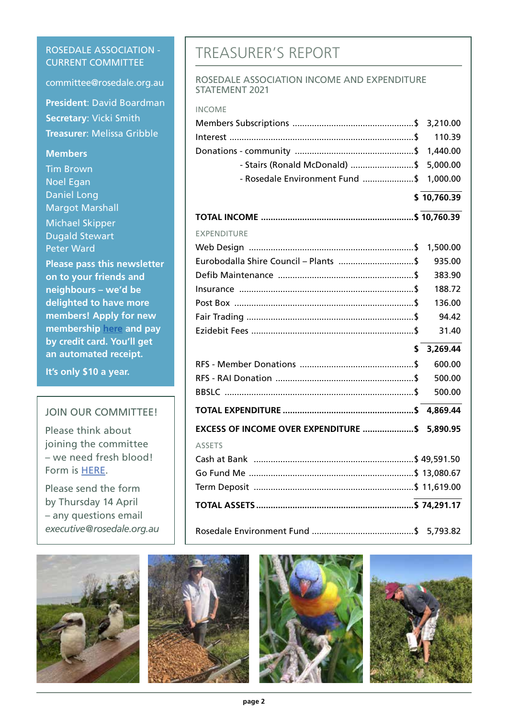### ROSEDALE ASSOCIATION - CURRENT COMMITTEE

committee@rosedale.org.au

**President**: David Boardman **Secretary**: Vicki Smith **Treasurer**: Melissa Gribble

### **Members**

Tim Brown Noel Egan Daniel Long Margot Marshall Michael Skipper Dugald Stewart Peter Ward

**Please pass this newsletter on to your friends and neighbours – we'd be delighted to have more members! Apply for new membership [here](https://rosedale.org.au/new-membership) and pay by credit card. You'll get an automated receipt.** 

**It's only \$10 a year.**

### JOIN OUR COMMITTEE!

Please think about joining the committee – we need fresh blood! Form is [HERE.](https://img1.wsimg.com/blobby/go/26ae4aef-8b2a-40e6-bdd4-894319717e90/downloads/rai_committee_nomination_formv3.pdf?ver=1648512592629)

Please send the form by Thursday 14 April – any questions email *executive@rosedale.org.au*









## TREASURER'S REPORT

#### ROSEDALE ASSOCIATION INCOME AND EXPENDITURE STATEMENT 2021

| <b>INCOME</b>                                  |             |
|------------------------------------------------|-------------|
|                                                |             |
|                                                | 110.39      |
|                                                | 1,440.00    |
| - Stairs (Ronald McDonald) \$                  | 5,000.00    |
| - Rosedale Environment Fund \$                 | 1,000.00    |
|                                                | \$10,760.39 |
|                                                |             |
| <b>EXPENDITURE</b>                             |             |
|                                                | 1,500.00    |
| Eurobodalla Shire Council - Plants  \$         | 935.00      |
|                                                | 383.90      |
|                                                | 188.72      |
|                                                | 136.00      |
|                                                | 94.42       |
|                                                | 31.40       |
| \$                                             | 3,269.44    |
|                                                | 600.00      |
|                                                | 500.00      |
|                                                | 500.00      |
|                                                |             |
| EXCESS OF INCOME OVER EXPENDITURE  \$ 5,890.95 |             |
| <b>ASSETS</b>                                  |             |
|                                                |             |
|                                                |             |
|                                                |             |
|                                                |             |
|                                                |             |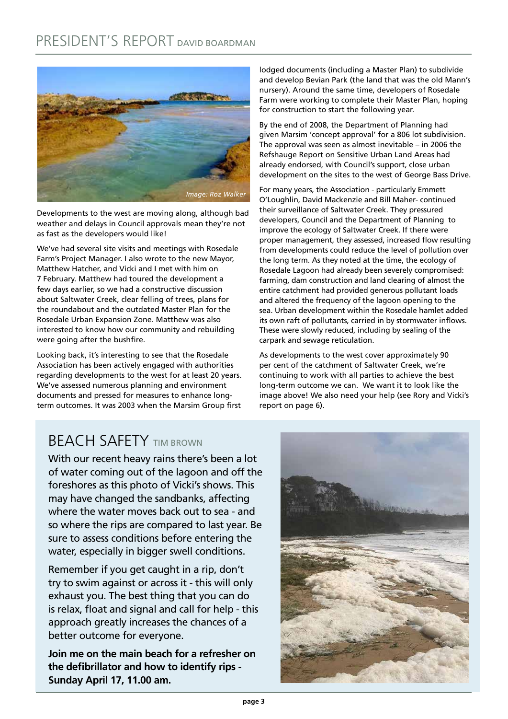

Developments to the west are moving along, although bad weather and delays in Council approvals mean they're not as fast as the developers would like!

We've had several site visits and meetings with Rosedale Farm's Project Manager. I also wrote to the new Mayor, Matthew Hatcher, and Vicki and I met with him on 7 February. Matthew had toured the development a few days earlier, so we had a constructive discussion about Saltwater Creek, clear felling of trees, plans for the roundabout and the outdated Master Plan for the Rosedale Urban Expansion Zone. Matthew was also interested to know how our community and rebuilding were going after the bushfire.

Looking back, it's interesting to see that the Rosedale Association has been actively engaged with authorities regarding developments to the west for at least 20 years. We've assessed numerous planning and environment documents and pressed for measures to enhance longterm outcomes. It was 2003 when the Marsim Group first lodged documents (including a Master Plan) to subdivide and develop Bevian Park (the land that was the old Mann's nursery). Around the same time, developers of Rosedale Farm were working to complete their Master Plan, hoping for construction to start the following year.

By the end of 2008, the Department of Planning had given Marsim 'concept approval' for a 806 lot subdivision. The approval was seen as almost inevitable – in 2006 the Refshauge Report on Sensitive Urban Land Areas had already endorsed, with Council's support, close urban development on the sites to the west of George Bass Drive.

For many years, the Association - particularly Emmett O'Loughlin, David Mackenzie and Bill Maher- continued their surveillance of Saltwater Creek. They pressured developers, Council and the Department of Planning to improve the ecology of Saltwater Creek. If there were proper management, they assessed, increased flow resulting from developments could reduce the level of pollution over the long term. As they noted at the time, the ecology of Rosedale Lagoon had already been severely compromised: farming, dam construction and land clearing of almost the entire catchment had provided generous pollutant loads and altered the frequency of the lagoon opening to the sea. Urban development within the Rosedale hamlet added its own raft of pollutants, carried in by stormwater inflows. These were slowly reduced, including by sealing of the carpark and sewage reticulation.

As developments to the west cover approximately 90 per cent of the catchment of Saltwater Creek, we're continuing to work with all parties to achieve the best long-term outcome we can. We want it to look like the image above! We also need your help (see Rory and Vicki's report on page 6).

# BEACH SAFETY TIM BROWN

With our recent heavy rains there's been a lot of water coming out of the lagoon and off the foreshores as this photo of Vicki's shows. This may have changed the sandbanks, affecting where the water moves back out to sea - and so where the rips are compared to last year. Be sure to assess conditions before entering the water, especially in bigger swell conditions.

Remember if you get caught in a rip, don't try to swim against or across it - this will only exhaust you. The best thing that you can do is relax, float and signal and call for help - this approach greatly increases the chances of a better outcome for everyone.

**Join me on the main beach for a refresher on the defibrillator and how to identify rips - Sunday April 17, 11.00 am.**

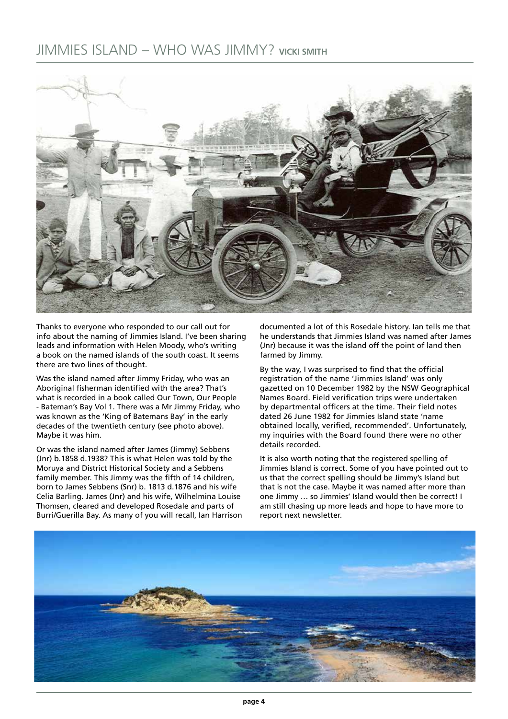### JIMMIES ISLAND – WHO WAS JIMMY? **VICKI SMITH**



Thanks to everyone who responded to our call out for info about the naming of Jimmies Island. I've been sharing leads and information with Helen Moody, who's writing a book on the named islands of the south coast. It seems there are two lines of thought.

Was the island named after Jimmy Friday, who was an Aboriginal fisherman identified with the area? That's what is recorded in a book called Our Town, Our People - Bateman's Bay Vol 1. There was a Mr Jimmy Friday, who was known as the 'King of Batemans Bay' in the early decades of the twentieth century (see photo above). Maybe it was him.

Or was the island named after James (Jimmy) Sebbens (Jnr) b.1858 d.1938? This is what Helen was told by the Moruya and District Historical Society and a Sebbens family member. This Jimmy was the fifth of 14 children, born to James Sebbens (Snr) b. 1813 d.1876 and his wife Celia Barling. James (Jnr) and his wife, Wilhelmina Louise Thomsen, cleared and developed Rosedale and parts of Burri/Guerilla Bay. As many of you will recall, Ian Harrison

documented a lot of this Rosedale history. Ian tells me that he understands that Jimmies Island was named after James (Jnr) because it was the island off the point of land then farmed by Jimmy.

By the way, I was surprised to find that the official registration of the name 'Jimmies Island' was only gazetted on 10 December 1982 by the NSW Geographical Names Board. Field verification trips were undertaken by departmental officers at the time. Their field notes dated 26 June 1982 for Jimmies Island state 'name obtained locally, verified, recommended'. Unfortunately, my inquiries with the Board found there were no other details recorded.

It is also worth noting that the registered spelling of Jimmies Island is correct. Some of you have pointed out to us that the correct spelling should be Jimmy's Island but that is not the case. Maybe it was named after more than one Jimmy … so Jimmies' Island would then be correct! I am still chasing up more leads and hope to have more to report next newsletter.

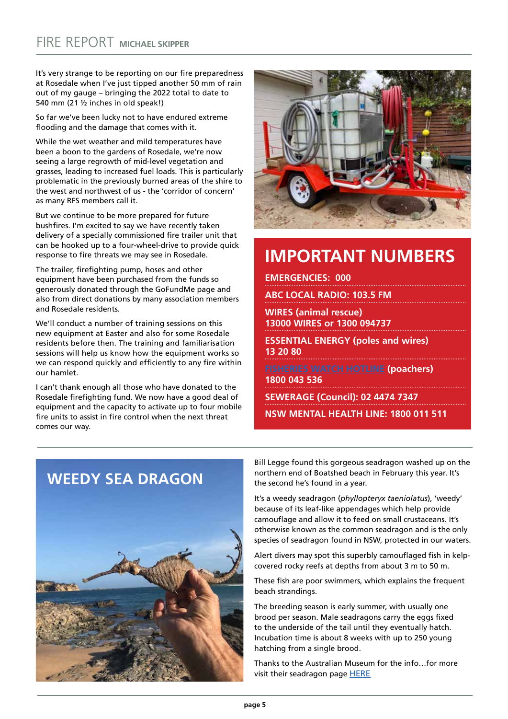It's very strange to be reporting on our fire preparedness at Rosedale when I've just tipped another 50 mm of rain out of my gauge – bringing the 2022 total to date to 540 mm (21 ½ inches in old speak!)

So far we've been lucky not to have endured extreme flooding and the damage that comes with it.

While the wet weather and mild temperatures have been a boon to the gardens of Rosedale, we're now seeing a large regrowth of mid-level vegetation and grasses, leading to increased fuel loads. This is particularly problematic in the previously burned areas of the shire to the west and northwest of us - the 'corridor of concern' as many RFS members call it.

But we continue to be more prepared for future bushfires. I'm excited to say we have recently taken delivery of a specially commissioned fire trailer unit that can be hooked up to a four-wheel-drive to provide quick response to fire threats we may see in Rosedale.

The trailer, firefighting pump, hoses and other equipment have been purchased from the funds so generously donated through the GoFundMe page and also from direct donations by many association members and Rosedale residents.

We'll conduct a number of training sessions on this new equipment at Easter and also for some Rosedale residents before then. The training and familiarisation sessions will help us know how the equipment works so we can respond quickly and efficiently to any fire within our hamlet.

I can't thank enough all those who have donated to the Rosedale firefighting fund. We now have a good deal of equipment and the capacity to activate up to four mobile fire units to assist in fire control when the next threat comes our way.



# **IMPORTANT NUMBERS**

**EMERGENCIES: 000**

**ABC LOCAL RADIO: 103.5 FM**

**WIRES (animal rescue) 13000 WIRES or 1300 094737**

**ESSENTIAL ENERGY (poles and wires) 13 20 80**

**[FISHERIES WATCH HOTLINE](https://www.dpi.nsw.gov.au/fishing/compliance/report-illegal-activity) (poachers) 1800 043 536**

**SEWERAGE (Council): 02 4474 7347**

**NSW MENTAL HEALTH LINE: 1800 011 511**



Bill Legge found this gorgeous seadragon washed up on the northern end of Boatshed beach in February this year. It's the second he's found in a year.

It's a weedy seadragon (*phyllopteryx taeniolatus*), 'weedy' because of its leaf-like appendages which help provide camouflage and allow it to feed on small crustaceans. It's otherwise known as the common seadragon and is the only species of seadragon found in NSW, protected in our waters.

Alert divers may spot this superbly camouflaged fish in kelpcovered rocky reefs at depths from about 3 m to 50 m.

These fish are poor swimmers, which explains the frequent beach strandings.

The breeding season is early summer, with usually one brood per season. Male seadragons carry the eggs fixed to the underside of the tail until they eventually hatch. Incubation time is about 8 weeks with up to 250 young hatching from a single brood.

Thanks to the Australian Museum for the info…for more visit their seadragon page [HERE](https://australian.museum/learn/animals/fishes/weedy-seadragon-phyllopteryx-taeniolatus/)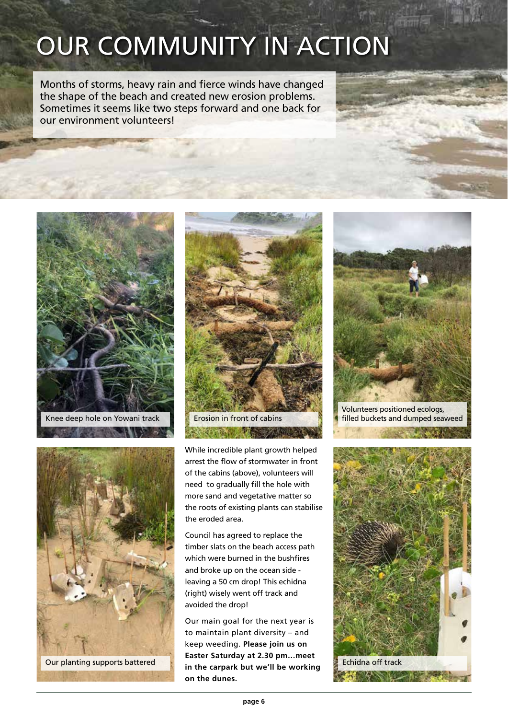# OUR COMMUNITY IN ACTION

Months of storms, heavy rain and fierce winds have changed the shape of the beach and created new erosion problems. Sometimes it seems like two steps forward and one back for our environment volunteers!







While incredible plant growth helped arrest the flow of stormwater in front of the cabins (above), volunteers will need to gradually fill the hole with more sand and vegetative matter so the roots of existing plants can stabilise the eroded area.

Council has agreed to replace the timber slats on the beach access path which were burned in the bushfires and broke up on the ocean side leaving a 50 cm drop! This echidna (right) wisely went off track and avoided the drop!

Our main goal for the next year is to maintain plant diversity – and keep weeding. **Please join us on Easter Saturday at 2.30 pm…meet in the carpark but we'll be working on the dunes.** Our planting supports battered Exercise Figure 2.50 pm.... need Echidna off track



Volunteers positioned ecologs, filled buckets and dumped seaweed

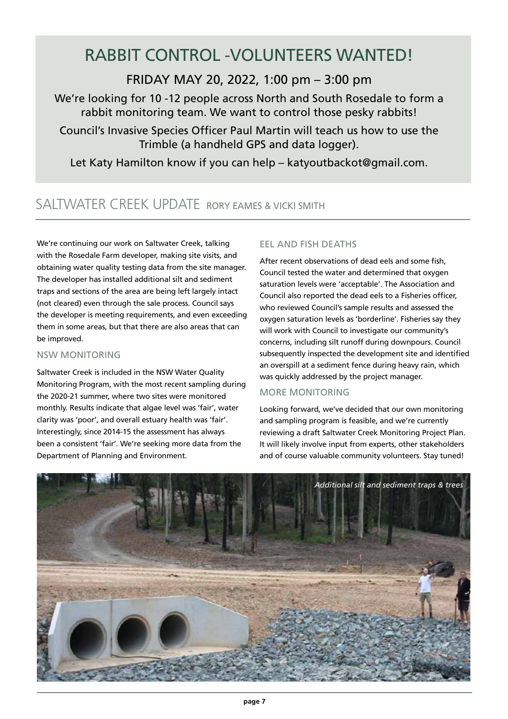# RABBIT CONTROL -VOLUNTEERS WANTED!

FRIDAY MAY 20, 2022, 1:00 pm – 3:00 pm

We're looking for 10 -12 people across North and South Rosedale to form a rabbit monitoring team. We want to control those pesky rabbits!

Council's Invasive Species Officer Paul Martin will teach us how to use the Trimble (a handheld GPS and data logger).

Let Katy Hamilton know if you can help – katyoutbackot@gmail.com.

### SALTWATER CREEK UPDATE RORY EAMES & VICKI SMITH

We're continuing our work on Saltwater Creek, talking with the Rosedale Farm developer, making site visits, and obtaining water quality testing data from the site manager. The developer has installed additional silt and sediment traps and sections of the area are being left largely intact (not cleared) even through the sale process. Council says the developer is meeting requirements, and even exceeding them in some areas, but that there are also areas that can be improved.

### NSW MONITORING

Saltwater Creek is included in the NSW Water Quality Monitoring Program, with the most recent sampling during the 2020-21 summer, where two sites were monitored monthly. Results indicate that algae level was 'fair', water clarity was 'poor', and overall estuary health was 'fair'. Interestingly, since 2014-15 the assessment has always been a consistent 'fair'. We're seeking more data from the Department of Planning and Environment.

### EEL AND FISH DEATHS

After recent observations of dead eels and some fish, Council tested the water and determined that oxygen saturation levels were 'acceptable'. The Association and Council also reported the dead eels to a Fisheries officer, who reviewed Council's sample results and assessed the oxygen saturation levels as 'borderline'. Fisheries say they will work with Council to investigate our community's concerns, including silt runoff during downpours. Council subsequently inspected the development site and identified an overspill at a sediment fence during heavy rain, which was quickly addressed by the project manager.

### MORE MONITORING

Looking forward, we've decided that our own monitoring and sampling program is feasible, and we're currently reviewing a draft Saltwater Creek Monitoring Project Plan. It will likely involve input from experts, other stakeholders and of course valuable community volunteers. Stay tuned!